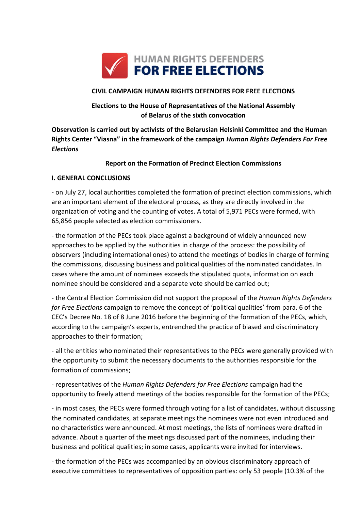

### **CIVIL CAMPAIGN HUMAN RIGHTS DEFENDERS FOR FREE ELECTIONS**

# **Elections to the House of Representatives of the National Assembly of Belarus of the sixth convocation**

**Observation is carried out by activists of the Belarusian Helsinki Committee and the Human Rights Center "Viasna" in the framework of the campaign** *Human Rights Defenders For Free Elections*

### **Report on the Formation of Precinct Election Commissions**

### **I. GENERAL CONCLUSIONS**

- on July 27, local authorities completed the formation of precinct election commissions, which are an important element of the electoral process, as they are directly involved in the organization of voting and the counting of votes. A total of 5,971 PECs were formed, with 65,856 people selected as election commissioners.

- the formation of the PECs took place against a background of widely announced new approaches to be applied by the authorities in charge of the process: the possibility of observers (including international ones) to attend the meetings of bodies in charge of forming the commissions, discussing business and political qualities of the nominated candidates. In cases where the amount of nominees exceeds the stipulated quota, information on each nominee should be considered and a separate vote should be carried out;

- the Central Election Commission did not support the proposal of the *Human Rights Defenders for Free Elections* campaign to remove the concept of 'political qualities' from para. 6 of the CEC's Decree No. 18 of 8 June 2016 before the beginning of the formation of the PECs, which, according to the campaign's experts, entrenched the practice of biased and discriminatory approaches to their formation;

- all the entities who nominated their representatives to the PECs were generally provided with the opportunity to submit the necessary documents to the authorities responsible for the formation of commissions;

- representatives of the *Human Rights Defenders for Free Elections* campaign had the opportunity to freely attend meetings of the bodies responsible for the formation of the PECs;

- in most cases, the PECs were formed through voting for a list of candidates, without discussing the nominated candidates, at separate meetings the nominees were not even introduced and no characteristics were announced. At most meetings, the lists of nominees were drafted in advance. About a quarter of the meetings discussed part of the nominees, including their business and political qualities; in some cases, applicants were invited for interviews.

- the formation of the PECs was accompanied by an obvious discriminatory approach of executive committees to representatives of opposition parties: only 53 people (10.3% of the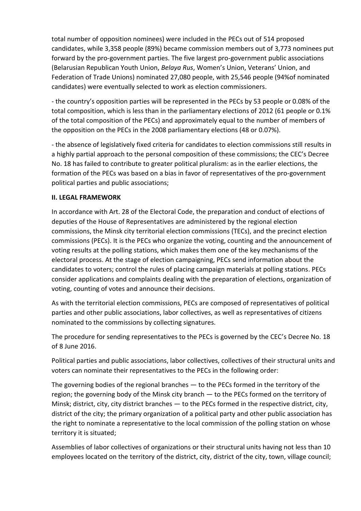total number of opposition nominees) were included in the PECs out of 514 proposed candidates, while 3,358 people (89%) became commission members out of 3,773 nominees put forward by the pro-government parties. The five largest pro-government public associations (Belarusian Republican Youth Union, *Belaya Rus*, Women's Union, Veterans' Union, and Federation of Trade Unions) nominated 27,080 people, with 25,546 people (94%of nominated candidates) were eventually selected to work as election commissioners.

- the country's opposition parties will be represented in the PECs by 53 people or 0.08% of the total composition, which is less than in the parliamentary elections of 2012 (61 people or 0.1% of the total composition of the PECs) and approximately equal to the number of members of the opposition on the PECs in the 2008 parliamentary elections (48 or 0.07%).

- the absence of legislatively fixed criteria for candidates to election commissions still results in a highly partial approach to the personal composition of these commissions; the CEC's Decree No. 18 has failed to contribute to greater political pluralism: as in the earlier elections, the formation of the PECs was based on a bias in favor of representatives of the pro-government political parties and public associations;

### **II. LEGAL FRAMEWORK**

In accordance with Art. 28 of the Electoral Code, the preparation and conduct of elections of deputies of the House of Representatives are administered by the regional election commissions, the Minsk city territorial election commissions (TECs), and the precinct election commissions (PECs). It is the PECs who organize the voting, counting and the announcement of voting results at the polling stations, which makes them one of the key mechanisms of the electoral process. At the stage of election campaigning, PECs send information about the candidates to voters; control the rules of placing campaign materials at polling stations. PECs consider applications and complaints dealing with the preparation of elections, organization of voting, counting of votes and announce their decisions.

As with the territorial election commissions, PECs are composed of representatives of political parties and other public associations, labor collectives, as well as representatives of citizens nominated to the commissions by collecting signatures.

The procedure for sending representatives to the PECs is governed by the CEC's Decree No. 18 of 8 June 2016.

Political parties and public associations, labor collectives, collectives of their structural units and voters can nominate their representatives to the PECs in the following order:

The governing bodies of the regional branches — to the PECs formed in the territory of the region; the governing body of the Minsk city branch — to the PECs formed on the territory of Minsk; district, city, city district branches — to the PECs formed in the respective district, city, district of the city; the primary organization of a political party and other public association has the right to nominate a representative to the local commission of the polling station on whose territory it is situated;

Assemblies of labor collectives of organizations or their structural units having not less than 10 employees located on the territory of the district, city, district of the city, town, village council;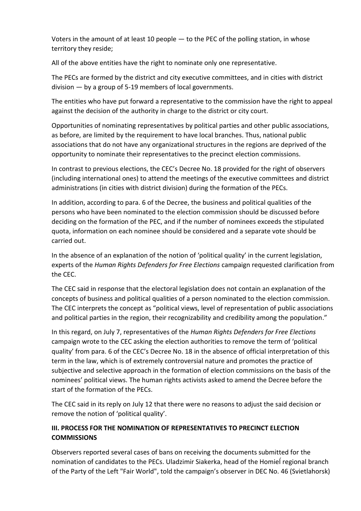Voters in the amount of at least 10 people — to the PEC of the polling station, in whose territory they reside;

All of the above entities have the right to nominate only one representative.

The PECs are formed by the district and city executive committees, and in cities with district division — by a group of 5-19 members of local governments.

The entities who have put forward a representative to the commission have the right to appeal against the decision of the authority in charge to the district or city court.

Opportunities of nominating representatives by political parties and other public associations, as before, are limited by the requirement to have local branches. Thus, national public associations that do not have any organizational structures in the regions are deprived of the opportunity to nominate their representatives to the precinct election commissions.

In contrast to previous elections, the CEC's Decree No. 18 provided for the right of observers (including international ones) to attend the meetings of the executive committees and district administrations (in cities with district division) during the formation of the PECs.

In addition, according to para. 6 of the Decree, the business and political qualities of the persons who have been nominated to the election commission should be discussed before deciding on the formation of the PEC, and if the number of nominees exceeds the stipulated quota, information on each nominee should be considered and a separate vote should be carried out.

In the absence of an explanation of the notion of 'political quality' in the current legislation, experts of the *Human Rights Defenders for Free Elections* campaign requested clarification from the CEC.

The CEC said in response that the electoral legislation does not contain an explanation of the concepts of business and political qualities of a person nominated to the election commission. The CEC interprets the concept as "political views, level of representation of public associations and political parties in the region, their recognizability and credibility among the population."

In this regard, on July 7, representatives of the *Human Rights Defenders for Free Elections* campaign wrote to the CEC asking the election authorities to remove the term of 'political quality' from para. 6 of the CEC's Decree No. 18 in the absence of official interpretation of this term in the law, which is of extremely controversial nature and promotes the practice of subjective and selective approach in the formation of election commissions on the basis of the nominees' political views. The human rights activists asked to amend the Decree before the start of the formation of the PECs.

The CEC said in its reply on July 12 that there were no reasons to adjust the said decision or remove the notion of 'political quality'.

# **III. PROCESS FOR THE NOMINATION OF REPRESENTATIVES TO PRECINCT ELECTION COMMISSIONS**

Observers reported several cases of bans on receiving the documents submitted for the nomination of candidates to the PECs. Uladzimir Siakerka, head of the Homieĺ regional branch of the Party of the Left "Fair World", told the campaign's observer in DEC No. 46 (Svietlahorsk)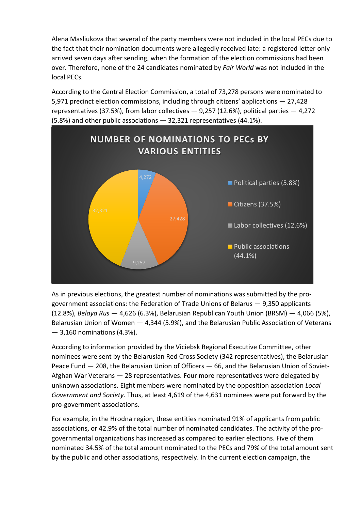Alena Masliukova that several of the party members were not included in the local PECs due to the fact that their nomination documents were allegedly received late: a registered letter only arrived seven days after sending, when the formation of the election commissions had been over. Therefore, none of the 24 candidates nominated by *Fair World* was not included in the local PECs.

According to the Central Election Commission, a total of 73,278 persons were nominated to 5,971 precinct election commissions, including through citizens' applications — 27,428 representatives (37.5%), from labor collectives  $-$  9,257 (12.6%), political parties  $-$  4,272 (5.8%) and other public associations — 32,321 representatives (44.1%).



As in previous elections, the greatest number of nominations was submitted by the progovernment associations: the Federation of Trade Unions of Belarus — 9,350 applicants (12.8%), *Belaya Rus* — 4,626 (6.3%), Belarusian Republican Youth Union (BRSM) — 4,066 (5%), Belarusian Union of Women — 4,344 (5.9%), and the Belarusian Public Association of Veterans — 3,160 nominations (4.3%).

According to information provided by the Viciebsk Regional Executive Committee, other nominees were sent by the Belarusian Red Cross Society (342 representatives), the Belarusian Peace Fund — 208, the Belarusian Union of Officers — 66, and the Belarusian Union of Soviet-Afghan War Veterans — 28 representatives. Four more representatives were delegated by unknown associations. Eight members were nominated by the opposition association *Local Government and Society*. Thus, at least 4,619 of the 4,631 nominees were put forward by the pro-government associations.

For example, in the Hrodna region, these entities nominated 91% of applicants from public associations, or 42.9% of the total number of nominated candidates. The activity of the progovernmental organizations has increased as compared to earlier elections. Five of them nominated 34.5% of the total amount nominated to the PECs and 79% of the total amount sent by the public and other associations, respectively. In the current election campaign, the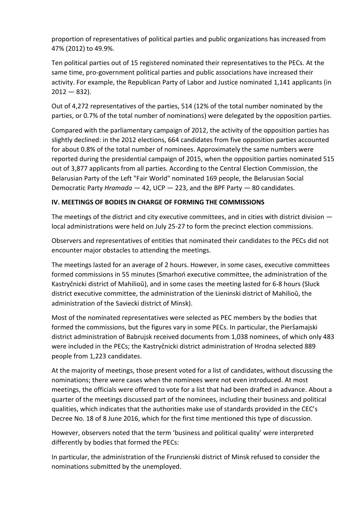proportion of representatives of political parties and public organizations has increased from 47% (2012) to 49.9%.

Ten political parties out of 15 registered nominated their representatives to the PECs. At the same time, pro-government political parties and public associations have increased their activity. For example, the Republican Party of Labor and Justice nominated 1,141 applicants (in  $2012 - 832$ ).

Out of 4,272 representatives of the parties, 514 (12% of the total number nominated by the parties, or 0.7% of the total number of nominations) were delegated by the opposition parties.

Compared with the parliamentary campaign of 2012, the activity of the opposition parties has slightly declined: in the 2012 elections, 664 candidates from five opposition parties accounted for about 0.8% of the total number of nominees. Approximately the same numbers were reported during the presidential campaign of 2015, when the opposition parties nominated 515 out of 3,877 applicants from all parties. According to the Central Election Commission, the Belarusian Party of the Left "Fair World" nominated 169 people, the Belarusian Social Democratic Party *Hramada* — 42, UCP — 223, and the BPF Party — 80 candidates.

### **IV. MEETINGS OF BODIES IN CHARGE OF FORMING THE COMMISSIONS**

The meetings of the district and city executive committees, and in cities with district division local administrations were held on July 25-27 to form the precinct election commissions.

Observers and representatives of entities that nominated their candidates to the PECs did not encounter major obstacles to attending the meetings.

The meetings lasted for an average of 2 hours. However, in some cases, executive committees formed commissions in 55 minutes (Smarhoń executive committee, the administration of the Kastryčnicki district of Mahilioŭ), and in some cases the meeting lasted for 6-8 hours (Sluck district executive committee, the administration of the Lieninski district of Mahilioŭ, the administration of the Saviecki district of Minsk).

Most of the nominated representatives were selected as PEC members by the bodies that formed the commissions, but the figures vary in some PECs. In particular, the Pieršamajski district administration of Babrujsk received documents from 1,038 nominees, of which only 483 were included in the PECs; the Kastryčnicki district administration of Hrodna selected 889 people from 1,223 candidates.

At the majority of meetings, those present voted for a list of candidates, without discussing the nominations; there were cases when the nominees were not even introduced. At most meetings, the officials were offered to vote for a list that had been drafted in advance. About a quarter of the meetings discussed part of the nominees, including their business and political qualities, which indicates that the authorities make use of standards provided in the CEC's Decree No. 18 of 8 June 2016, which for the first time mentioned this type of discussion.

However, observers noted that the term 'business and political quality' were interpreted differently by bodies that formed the PECs:

In particular, the administration of the Frunzienski district of Minsk refused to consider the nominations submitted by the unemployed.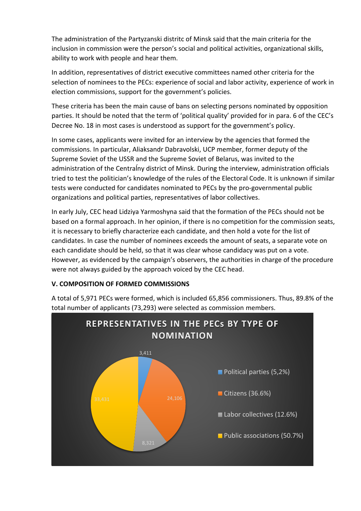The administration of the Partyzanski distritc of Minsk said that the main criteria for the inclusion in commission were the person's social and political activities, organizational skills, ability to work with people and hear them.

In addition, representatives of district executive committees named other criteria for the selection of nominees to the PECs: experience of social and labor activity, experience of work in election commissions, support for the government's policies.

These criteria has been the main cause of bans on selecting persons nominated by opposition parties. It should be noted that the term of 'political quality' provided for in para. 6 of the CEC's Decree No. 18 in most cases is understood as support for the government's policy.

In some cases, applicants were invited for an interview by the agencies that formed the commissions. In particular, Aliaksandr Dabravolski, UCP member, former deputy of the Supreme Soviet of the USSR and the Supreme Soviet of Belarus, was invited to the administration of the Centraĺny district of Minsk. During the interview, administration officials tried to test the politician's knowledge of the rules of the Electoral Code. It is unknown if similar tests were conducted for candidates nominated to PECs by the pro-governmental public organizations and political parties, representatives of labor collectives.

In early July, CEC head Lidziya Yarmoshyna said that the formation of the PECs should not be based on a formal approach. In her opinion, if there is no competition for the commission seats, it is necessary to briefly characterize each candidate, and then hold a vote for the list of candidates. In case the number of nominees exceeds the amount of seats, a separate vote on each candidate should be held, so that it was clear whose candidacy was put on a vote. However, as evidenced by the campaign's observers, the authorities in charge of the procedure were not always guided by the approach voiced by the CEC head.

# **V. COMPOSITION OF FORMED COMMISSIONS**



A total of 5,971 PECs were formed, which is included 65,856 commissioners. Thus, 89.8% of the total number of applicants (73,293) were selected as commission members.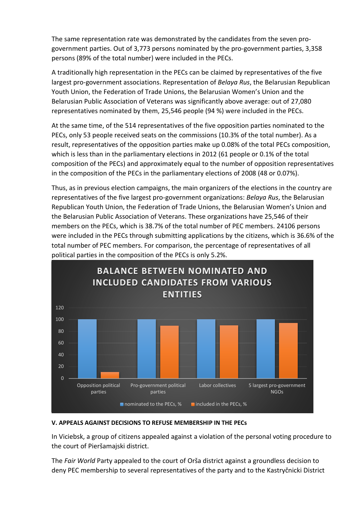The same representation rate was demonstrated by the candidates from the seven progovernment parties. Out of 3,773 persons nominated by the pro-government parties, 3,358 persons (89% of the total number) were included in the PECs.

A traditionally high representation in the PECs can be claimed by representatives of the five largest pro-government associations. Representation of *Belaya Rus*, the Belarusian Republican Youth Union, the Federation of Trade Unions, the Belarusian Women's Union and the Belarusian Public Association of Veterans was significantly above average: out of 27,080 representatives nominated by them, 25,546 people (94 %) were included in the PECs.

At the same time, of the 514 representatives of the five opposition parties nominated to the PECs, only 53 people received seats on the commissions (10.3% of the total number). As a result, representatives of the opposition parties make up 0.08% of the total PECs composition, which is less than in the parliamentary elections in 2012 (61 people or 0.1% of the total composition of the PECs) and approximately equal to the number of opposition representatives in the composition of the PECs in the parliamentary elections of 2008 (48 or 0.07%).

Thus, as in previous election campaigns, the main organizers of the elections in the country are representatives of the five largest pro-government organizations: *Belaya Rus*, the Belarusian Republican Youth Union, the Federation of Trade Unions, the Belarusian Women's Union and the Belarusian Public Association of Veterans. These organizations have 25,546 of their members on the PECs, which is 38.7% of the total number of PEC members. 24106 persons were included in the PECs through submitting applications by the citizens, which is 36.6% of the total number of PEC members. For comparison, the percentage of representatives of all political parties in the composition of the PECs is only 5.2%.



#### **V. APPEALS AGAINST DECISIONS TO REFUSE MEMBERSHIP IN THE PECs**

In Viciebsk, a group of citizens appealed against a violation of the personal voting procedure to the court of Pieršamajski district.

The *Fair World* Party appealed to the court of Orša district against a groundless decision to deny PEC membership to several representatives of the party and to the Kastryčnicki District